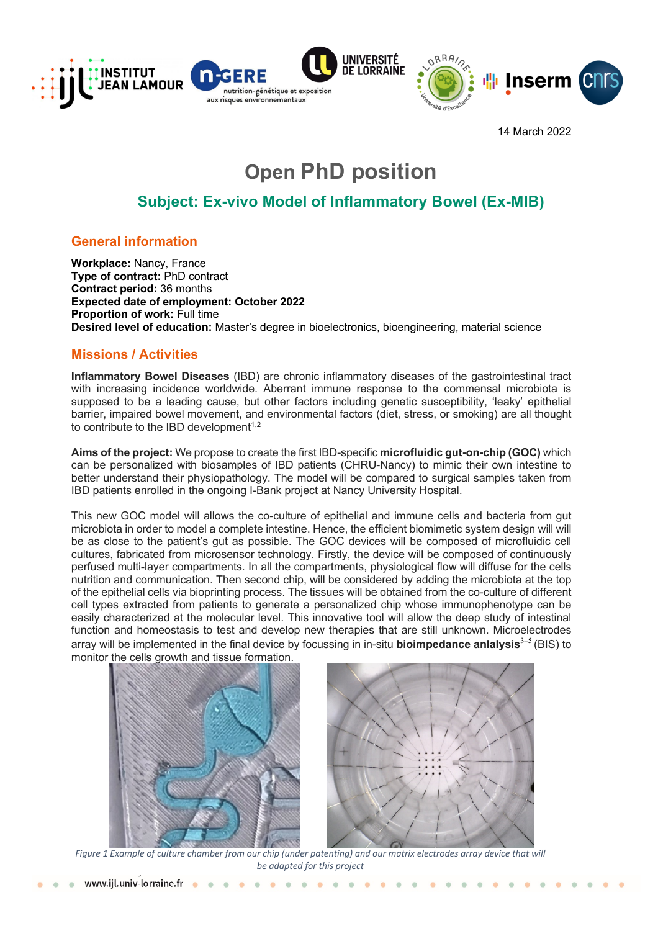

14 March 2022

# **Open PhD position**

# **Subject: Ex-vivo Model of Inflammatory Bowel (Ex-MIB)**

# **General information**

**Workplace:** Nancy, France **Type of contract:** PhD contract **Contract period:** 36 months **Expected date of employment: October 2022 Proportion of work:** Full time **Desired level of education:** Master's degree in bioelectronics, bioengineering, material science

# **Missions / Activities**

**Inflammatory Bowel Diseases** (IBD) are chronic inflammatory diseases of the gastrointestinal tract with increasing incidence worldwide. Aberrant immune response to the commensal microbiota is supposed to be a leading cause, but other factors including genetic susceptibility, 'leaky' epithelial barrier, impaired bowel movement, and environmental factors (diet, stress, or smoking) are all thought to contribute to the IBD development $1,2$ 

**Aims of the project:** We propose to create the first IBD-specific **microfluidic gut-on-chip (GOC)** which can be personalized with biosamples of IBD patients (CHRU-Nancy) to mimic their own intestine to better understand their physiopathology. The model will be compared to surgical samples taken from IBD patients enrolled in the ongoing I-Bank project at Nancy University Hospital.

This new GOC model will allows the co-culture of epithelial and immune cells and bacteria from gut microbiota in order to model a complete intestine. Hence, the efficient biomimetic system design will will be as close to the patient's gut as possible. The GOC devices will be composed of microfluidic cell cultures, fabricated from microsensor technology. Firstly, the device will be composed of continuously perfused multi-layer compartments. In all the compartments, physiological flow will diffuse for the cells nutrition and communication. Then second chip, will be considered by adding the microbiota at the top of the epithelial cells via bioprinting process. The tissues will be obtained from the co-culture of different cell types extracted from patients to generate a personalized chip whose immunophenotype can be easily characterized at the molecular level. This innovative tool will allow the deep study of intestinal function and homeostasis to test and develop new therapies that are still unknown. Microelectrodes array will be implemented in the final device by focussing in in-situ **bioimpedance anlalysis**3–5 (BIS) to monitor the cells growth and tissue formation.





*Figure 1 Example of culture chamber from our chip (under patenting) and our matrix electrodes array device that will be adapted for this project*